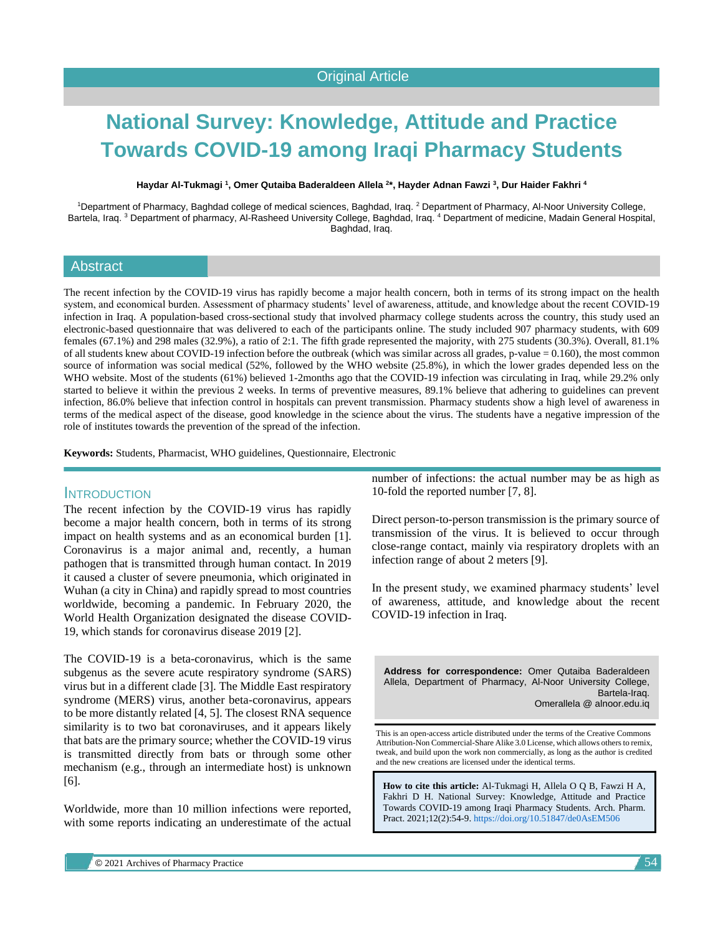# **National Survey: Knowledge, Attitude and Practice Towards COVID-19 among Iraqi Pharmacy Students**

**Haydar Al-Tukmagi <sup>1</sup> , Omer Qutaiba Baderaldeen Allela <sup>2</sup> \*, Hayder Adnan Fawzi <sup>3</sup> , Dur Haider Fakhri <sup>4</sup>**

<sup>1</sup>Department of Pharmacy, Baghdad college of medical sciences, Baghdad, Iraq. <sup>2</sup> Department of Pharmacy, Al-Noor University College, Bartela, Iraq. <sup>3</sup> Department of pharmacy, Al-Rasheed University College, Baghdad, Iraq. <sup>4</sup> Department of medicine, Madain General Hospital, Baghdad, Iraq.

# **Abstract**

The recent infection by the COVID-19 virus has rapidly become a major health concern, both in terms of its strong impact on the health system, and economical burden. Assessment of pharmacy students' level of awareness, attitude, and knowledge about the recent COVID-19 infection in Iraq. A population-based cross-sectional study that involved pharmacy college students across the country, this study used an electronic-based questionnaire that was delivered to each of the participants online. The study included 907 pharmacy students, with 609 females (67.1%) and 298 males (32.9%), a ratio of 2:1. The fifth grade represented the majority, with 275 students (30.3%). Overall, 81.1% of all students knew about COVID-19 infection before the outbreak (which was similar across all grades, p-value = 0.160), the most common source of information was social medical (52%, followed by the WHO website (25.8%), in which the lower grades depended less on the WHO website. Most of the students (61%) believed 1-2months ago that the COVID-19 infection was circulating in Iraq, while 29.2% only started to believe it within the previous 2 weeks. In terms of preventive measures, 89.1% believe that adhering to guidelines can prevent infection, 86.0% believe that infection control in hospitals can prevent transmission. Pharmacy students show a high level of awareness in terms of the medical aspect of the disease, good knowledge in the science about the virus. The students have a negative impression of the role of institutes towards the prevention of the spread of the infection.

**Keywords:** Students, Pharmacist, WHO guidelines, Questionnaire, Electronic

#### **INTRODUCTION**

The recent infection by the COVID-19 virus has rapidly become a major health concern, both in terms of its strong impact on health systems and as an economical burden [1]. Coronavirus is a major animal and, recently, a human pathogen that is transmitted through human contact. In 2019 it caused a cluster of severe pneumonia, which originated in Wuhan (a city in China) and rapidly spread to most countries worldwide, becoming a pandemic. In February 2020, the World Health Organization designated the disease COVID-19, which stands for coronavirus disease 2019 [2].

The COVID-19 is a beta-coronavirus, which is the same subgenus as the severe acute respiratory syndrome (SARS) virus but in a different clade [3]. The Middle East respiratory syndrome (MERS) virus, another beta-coronavirus, appears to be more distantly related [4, 5]. The closest RNA sequence similarity is to two bat coronaviruses, and it appears likely that bats are the primary source; whether the COVID-19 virus is transmitted directly from bats or through some other mechanism (e.g., through an intermediate host) is unknown [6].

Worldwide, more than 10 million infections were reported, with some reports indicating an underestimate of the actual number of infections: the actual number may be as high as 10-fold the reported number [7, 8].

Direct person-to-person transmission is the primary source of transmission of the virus. It is believed to occur through close-range contact, mainly via respiratory droplets with an infection range of about 2 meters [9].

In the present study, we examined pharmacy students' level of awareness, attitude, and knowledge about the recent COVID-19 infection in Iraq.

**Address for correspondence:** Omer Qutaiba Baderaldeen Allela, Department of Pharmacy, Al-Noor University College, Bartela-Iraq. Omerallela @ alnoor.edu.iq

This is an open-access article distributed under the terms of the Creative Commons Attribution-Non Commercial-Share Alike 3.0 License, which allows others to remix, tweak, and build upon the work non commercially, as long as the author is credited and the new creations are licensed under the identical terms.

**How to cite this article:** Al-Tukmagi H, Allela O Q B, Fawzi H A, Fakhri D H. National Survey: Knowledge, Attitude and Practice Towards COVID-19 among Iraqi Pharmacy Students. Arch. Pharm. Pract. 2021;12(2):54-9. <https://doi.org/10.51847/de0AsEM506>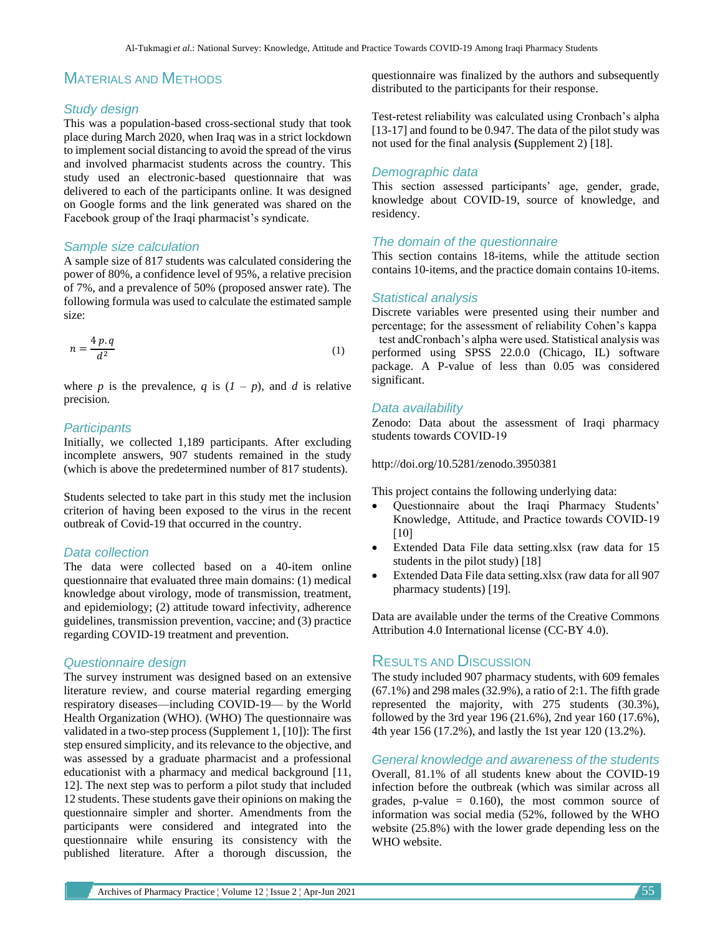# MATERIALS AND METHODS

## *Study design*

This was a population-based cross-sectional study that took place during March 2020, when Iraq was in a strict lockdown to implement social distancing to avoid the spread of the virus and involved pharmacist students across the country. This study used an electronic-based questionnaire that was delivered to each of the participants online. It was designed on Google forms and the link generated was shared on the Facebook group of the Iraqi pharmacist's syndicate.

## *Sample size calculation*

A sample size of 817 students was calculated considering the power of 80%, a confidence level of 95%, a relative precision of 7%, and a prevalence of 50% (proposed answer rate). The following formula was used to calculate the estimated sample size:

$$
n = \frac{4 p \cdot q}{d^2} \tag{1}
$$

where *p* is the prevalence, *q* is  $(I - p)$ , and *d* is relative precision.

## *Participants*

Initially, we collected 1,189 participants. After excluding incomplete answers, 907 students remained in the study (which is above the predetermined number of 817 students).

Students selected to take part in this study met the inclusion criterion of having been exposed to the virus in the recent outbreak of Covid-19 that occurred in the country.

#### *Data collection*

The data were collected based on a 40-item online questionnaire that evaluated three main domains: (1) medical knowledge about virology, mode of transmission, treatment, and epidemiology; (2) attitude toward infectivity, adherence guidelines, transmission prevention, vaccine; and (3) practice regarding COVID-19 treatment and prevention.

### *Questionnaire design*

The survey instrument was designed based on an extensive literature review, and course material regarding emerging respiratory diseases—including COVID-19— by the World Health Organization (WHO). (WHO) The questionnaire was validated in a two-step process (Supplement 1, [10]): The first step ensured simplicity, and its relevance to the objective, and was assessed by a graduate pharmacist and a professional educationist with a pharmacy and medical background [11, 12]. The next step was to perform a pilot study that included 12 students. These students gave their opinions on making the questionnaire simpler and shorter. Amendments from the participants were considered and integrated into the questionnaire while ensuring its consistency with the published literature. After a thorough discussion, the

questionnaire was finalized by the authors and subsequently distributed to the participants for their response.

Test-retest reliability was calculated using Cronbach's alpha [13-17] and found to be 0.947. The data of the pilot study was not used for the final analysis **(**Supplement 2) [18].

## *Demographic data*

This section assessed participants' age, gender, grade, knowledge about COVID-19, source of knowledge, and residency.

## *The domain of the questionnaire*

This section contains 18-items, while the attitude section contains 10-items, and the practice domain contains 10-items.

#### *Statistical analysis*

Discrete variables were presented using their number and percentage; for the assessment of reliability Cohen's kappa test andCronbach's alpha were used. Statistical analysis was performed using SPSS 22.0.0 (Chicago, IL) software package. A P-value of less than 0.05 was considered significant.

# *Data availability*

Zenodo: Data about the assessment of Iraqi pharmacy students towards COVID-19

http://doi.org/10.5281/zenodo.3950381

This project contains the following underlying data:

- Questionnaire about the Iraqi Pharmacy Students' Knowledge, Attitude, and Practice towards COVID-19  $[10]$
- Extended Data File data setting.xlsx (raw data for 15 students in the pilot study) [18]
- Extended Data File data setting.xlsx (raw data for all 907 pharmacy students) [19].

Data are available under the terms of the Creative Commons Attribution 4.0 International license (CC-BY 4.0).

# RESULTS AND DISCUSSION

The study included 907 pharmacy students, with 609 females (67.1%) and 298 males (32.9%), a ratio of 2:1. The fifth grade represented the majority, with 275 students (30.3%), followed by the 3rd year 196 (21.6%), 2nd year 160 (17.6%), 4th year 156 (17.2%), and lastly the 1st year 120 (13.2%).

*General knowledge and awareness of the students* Overall, 81.1% of all students knew about the COVID-19 infection before the outbreak (which was similar across all grades, p-value  $= 0.160$ , the most common source of information was social media (52%, followed by the WHO website (25.8%) with the lower grade depending less on the WHO website.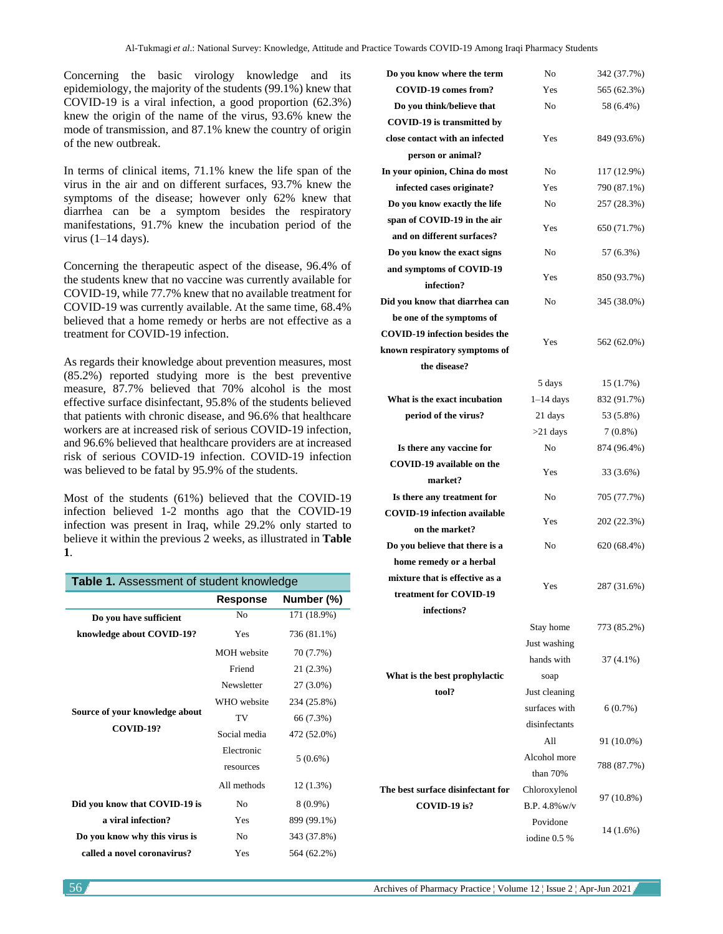Concerning the basic virology knowledge and its epidemiology, the majority of the students (99.1%) knew that COVID-19 is a viral infection, a good proportion (62.3%) knew the origin of the name of the virus, 93.6% knew the mode of transmission, and 87.1% knew the country of origin of the new outbreak.

In terms of clinical items, 71.1% knew the life span of the virus in the air and on different surfaces, 93.7% knew the symptoms of the disease; however only 62% knew that diarrhea can be a symptom besides the respiratory manifestations, 91.7% knew the incubation period of the virus  $(1-14 \text{ days})$ .

Concerning the therapeutic aspect of the disease, 96.4% of the students knew that no vaccine was currently available for COVID-19, while 77.7% knew that no available treatment for COVID-19 was currently available. At the same time, 68.4% believed that a home remedy or herbs are not effective as a treatment for COVID-19 infection.

As regards their knowledge about prevention measures, most (85.2%) reported studying more is the best preventive measure, 87.7% believed that 70% alcohol is the most effective surface disinfectant, 95.8% of the students believed that patients with chronic disease, and 96.6% that healthcare workers are at increased risk of serious COVID-19 infection, and 96.6% believed that healthcare providers are at increased risk of serious COVID-19 infection. COVID-19 infection was believed to be fatal by 95.9% of the students.

Most of the students (61%) believed that the COVID-19 infection believed 1-2 months ago that the COVID-19 infection was present in Iraq, while 29.2% only started to believe it within the previous 2 weeks, as illustrated in **Table 1**.

| <b>Table 1.</b> Assessment of student knowledge    |                    |             |
|----------------------------------------------------|--------------------|-------------|
|                                                    | Response           | Number (%)  |
| Do you have sufficient                             | N <sub>0</sub>     | 171 (18.9%) |
| knowledge about COVID-19?                          | Yes                | 736 (81.1%) |
| Source of your knowledge about<br><b>COVID-19?</b> | <b>MOH</b> website | 70 (7.7%)   |
|                                                    | Friend             | 21 (2.3%)   |
|                                                    | Newsletter         | 27 (3.0%)   |
|                                                    | WHO website        | 234 (25.8%) |
|                                                    | TV                 | 66 (7.3%)   |
|                                                    | Social media       | 472 (52.0%) |
|                                                    | Electronic         | $5(0.6\%)$  |
|                                                    | resources          |             |
|                                                    | All methods        | 12 (1.3%)   |
| Did you know that COVID-19 is                      | N <sub>0</sub>     | $8(0.9\%)$  |
| a viral infection?                                 | Yes                | 899 (99.1%) |
| Do you know why this virus is                      | N <sub>0</sub>     | 343 (37.8%) |
| called a novel coronavirus?                        | Yes                | 564 (62.2%) |

| Do you know where the term            | No              | 342 (37.7%) |
|---------------------------------------|-----------------|-------------|
| COVID-19 comes from?                  | Yes             | 565 (62.3%) |
| Do you think/believe that             | No              | 58 (6.4%)   |
| <b>COVID-19</b> is transmitted by     |                 |             |
| close contact with an infected        | Yes             | 849 (93.6%) |
| person or animal?                     |                 |             |
| In your opinion, China do most        | No              | 117 (12.9%) |
| infected cases originate?             | Yes             | 790 (87.1%) |
| Do you know exactly the life          | No              | 257 (28.3%) |
| span of COVID-19 in the air           |                 |             |
| and on different surfaces?            | Yes             | 650 (71.7%) |
| Do you know the exact signs           | No              | 57 (6.3%)   |
| and symptoms of COVID-19              |                 |             |
| infection?                            | Yes             | 850 (93.7%) |
| Did you know that diarrhea can        | No              | 345 (38.0%) |
| be one of the symptoms of             |                 |             |
| <b>COVID-19 infection besides the</b> | Yes             | 562 (62.0%) |
| known respiratory symptoms of         |                 |             |
| the disease?                          |                 |             |
|                                       | 5 days          | 15 (1.7%)   |
| What is the exact incubation          | $1-14$ days     | 832 (91.7%) |
| period of the virus?                  | 21 days         | 53 (5.8%)   |
|                                       | $>21$ days      | $7(0.8\%)$  |
| Is there any vaccine for              | No              | 874 (96.4%) |
| COVID-19 available on the             | Yes             | 33 (3.6%)   |
| market?                               |                 |             |
| Is there any treatment for            | No              | 705 (77.7%) |
| <b>COVID-19</b> infection available   | Yes             | 202 (22.3%) |
| on the market?                        |                 |             |
| Do you believe that there is a        | No              | 620 (68.4%) |
| home remedy or a herbal               |                 |             |
| mixture that is effective as a        | Yes             | 287 (31.6%) |
| treatment for COVID-19                |                 |             |
| infections?                           |                 |             |
|                                       | Stay home       | 773 (85.2%) |
|                                       | Just washing    |             |
|                                       | hands with      | 37 (4.1%)   |
| What is the best prophylactic         | soap            |             |
| tool?                                 | Just cleaning   |             |
|                                       | surfaces with   | 6(0.7%)     |
|                                       | disinfectants   |             |
|                                       | All             | 91 (10.0%)  |
|                                       | Alcohol more    | 788 (87.7%) |
|                                       | than 70%        |             |
| The best surface disinfectant for     | Chloroxylenol   | 97 (10.8%)  |
| COVID-19 is?                          | $B.P.4.8\%$ w/v |             |
|                                       | Povidone        | 14 (1.6%)   |
|                                       | iodine 0.5 %    |             |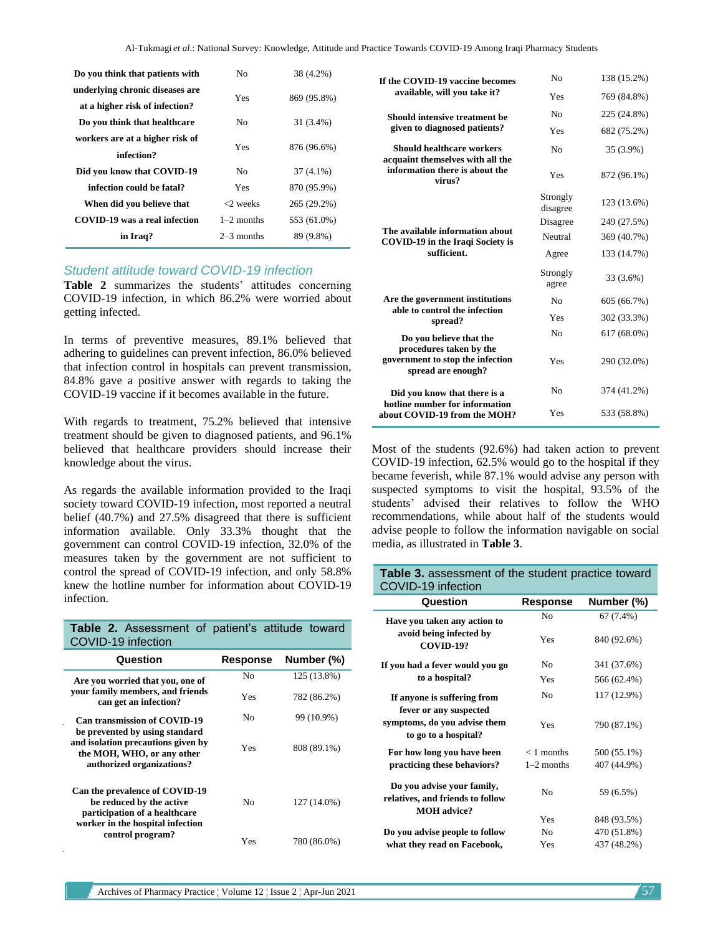| Do you think that patients with | No.          | 38 (4.2%)   |
|---------------------------------|--------------|-------------|
| underlying chronic diseases are | Yes          | 869 (95.8%) |
| at a higher risk of infection?  |              |             |
| Do you think that healthcare    | No           | 31 (3.4%)   |
| workers are at a higher risk of | Yes          | 876 (96.6%) |
| infection?                      |              |             |
| Did you know that COVID-19      | Nο           | $37(4.1\%)$ |
| infection could be fatal?       | Yes          | 870 (95.9%) |
| When did you believe that       | <2 weeks     | 265 (29.2%) |
| COVID-19 was a real infection   | $1-2$ months | 553 (61.0%) |
| in Iraq?                        | $2-3$ months | 89 (9.8%)   |

#### *Student attitude toward COVID-19 infection*

**Table 2** summarizes the students' attitudes concerning COVID-19 infection, in which 86.2% were worried about getting infected.

In terms of preventive measures, 89.1% believed that adhering to guidelines can prevent infection, 86.0% believed that infection control in hospitals can prevent transmission, 84.8% gave a positive answer with regards to taking the COVID-19 vaccine if it becomes available in the future.

With regards to treatment, 75.2% believed that intensive treatment should be given to diagnosed patients, and 96.1% believed that healthcare providers should increase their knowledge about the virus.

As regards the available information provided to the Iraqi society toward COVID-19 infection, most reported a neutral belief (40.7%) and 27.5% disagreed that there is sufficient information available. Only 33.3% thought that the government can control COVID-19 infection, 32.0% of the measures taken by the government are not sufficient to control the spread of COVID-19 infection, and only 58.8% knew the hotline number for information about COVID-19 infection.

| Table 2. Assessment of patient's attitude toward<br>COVID-19 infection                                                          |                 |             |
|---------------------------------------------------------------------------------------------------------------------------------|-----------------|-------------|
| Question                                                                                                                        | <b>Response</b> | Number (%)  |
| Are you worried that you, one of                                                                                                | No              | 125 (13.8%) |
| your family members, and friends<br>can get an infection?                                                                       | Yes             | 782 (86.2%) |
| <b>Can transmission of COVID-19</b>                                                                                             | Nο              | 99 (10.9%)  |
| be prevented by using standard<br>and isolation precautions given by<br>the MOH, WHO, or any other<br>authorized organizations? | Yes             | 808 (89.1%) |
| Can the prevalence of COVID-19<br>be reduced by the active<br>participation of a healthcare<br>worker in the hospital infection | Nο              | 127 (14.0%) |
| control program?                                                                                                                | Yes             | 780 (86.0%) |

| If the COVID-19 vaccine becomes<br>available, will you take it?                                              | No                   | 138 (15.2%) |
|--------------------------------------------------------------------------------------------------------------|----------------------|-------------|
|                                                                                                              | Yes                  | 769 (84.8%) |
| Should intensive treatment be<br>given to diagnosed patients?                                                | N <sub>0</sub>       | 225 (24.8%) |
|                                                                                                              | Yes                  | 682 (75.2%) |
| Should healthcare workers<br>acquaint themselves with all the<br>information there is about the<br>virus?    | N <sub>0</sub>       | 35 (3.9%)   |
|                                                                                                              | Yes                  | 872 (96.1%) |
|                                                                                                              | Strongly<br>disagree | 123 (13.6%) |
|                                                                                                              | Disagree             | 249 (27.5%) |
| The available information about<br><b>COVID-19</b> in the Iraqi Society is                                   | Neutral              | 369 (40.7%) |
| sufficient.                                                                                                  | Agree                | 133 (14.7%) |
|                                                                                                              | Strongly<br>agree    | 33 (3.6%)   |
| Are the government institutions<br>able to control the infection<br>spread?                                  | No                   | 605 (66.7%) |
|                                                                                                              | Yes                  | 302 (33.3%) |
| Do you believe that the<br>procedures taken by the<br>government to stop the infection<br>spread are enough? | N <sub>0</sub>       | 617 (68.0%) |
|                                                                                                              | Yes                  | 290 (32.0%) |
| Did you know that there is a                                                                                 | N <sub>0</sub>       | 374 (41.2%) |
| hotline number for information<br>about COVID-19 from the MOH?                                               | Yes                  | 533 (58.8%) |

Most of the students (92.6%) had taken action to prevent COVID-19 infection, 62.5% would go to the hospital if they became feverish, while 87.1% would advise any person with suspected symptoms to visit the hospital, 93.5% of the students' advised their relatives to follow the WHO recommendations, while about half of the students would advise people to follow the information navigable on social media, as illustrated in **Table 3**.

# **Table 3.** assessment of the student practice toward COVID-19 infection

| Question                                                                             | Response       | Number (%)  |
|--------------------------------------------------------------------------------------|----------------|-------------|
| Have you taken any action to                                                         | No.            | $67(7.4\%)$ |
| avoid being infected by<br><b>COVID-19?</b>                                          | Yes            | 840 (92.6%) |
| If you had a fever would you go                                                      | N <sub>0</sub> | 341 (37.6%) |
| to a hospital?                                                                       | Yes            | 566 (62.4%) |
| If anyone is suffering from<br>fever or any suspected                                | No.            | 117 (12.9%) |
| symptoms, do you advise them<br>to go to a hospital?                                 | Yes            | 790 (87.1%) |
| For how long you have been                                                           | $< 1$ months   | 500 (55.1%) |
| practicing these behaviors?                                                          | $1-2$ months   | 407 (44.9%) |
| Do you advise your family,<br>relatives, and friends to follow<br><b>MOH</b> advice? | Nο             | 59 (6.5%)   |
|                                                                                      | Yes            | 848 (93.5%) |
| Do you advise people to follow                                                       | No.            | 470 (51.8%) |
| what they read on Facebook,                                                          | Yes            | 437 (48.2%) |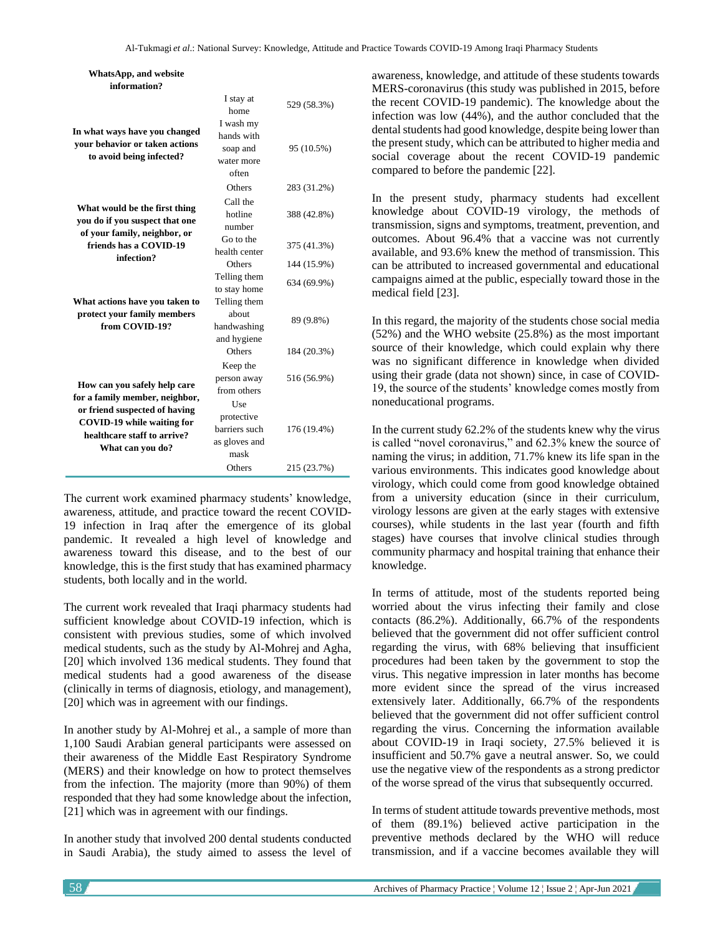| <b>WhatsApp, and website</b>                                                                                                                                                                                                           |                                                                              |             |
|----------------------------------------------------------------------------------------------------------------------------------------------------------------------------------------------------------------------------------------|------------------------------------------------------------------------------|-------------|
| information?                                                                                                                                                                                                                           |                                                                              |             |
| In what ways have you changed<br>your behavior or taken actions<br>to avoid being infected?<br>What would be the first thing<br>you do if you suspect that one<br>of your family, neighbor, or<br>friends has a COVID-19<br>infection? | I stay at<br>home                                                            | 529 (58.3%) |
|                                                                                                                                                                                                                                        | I wash my<br>hands with<br>soap and<br>water more<br>often                   | 95 (10.5%)  |
|                                                                                                                                                                                                                                        | Others                                                                       | 283 (31.2%) |
|                                                                                                                                                                                                                                        | Call the<br>hotline<br>number                                                | 388 (42.8%) |
|                                                                                                                                                                                                                                        | Go to the<br>health center                                                   | 375 (41.3%) |
|                                                                                                                                                                                                                                        | Others                                                                       | 144 (15.9%) |
|                                                                                                                                                                                                                                        | Telling them<br>to stay home                                                 | 634 (69.9%) |
| What actions have you taken to<br>protect your family members<br>from COVID-19?                                                                                                                                                        | Telling them<br>about<br>handwashing<br>and hygiene                          | 89 (9.8%)   |
|                                                                                                                                                                                                                                        | Others                                                                       | 184 (20.3%) |
| How can you safely help care<br>for a family member, neighbor,<br>or friend suspected of having<br><b>COVID-19 while waiting for</b><br>healthcare staff to arrive?<br>What can you do?                                                | Keep the<br>person away<br>from others<br>Use<br>protective<br>barriers such | 516 (56.9%) |
|                                                                                                                                                                                                                                        | as gloves and<br>mask                                                        | 176 (19.4%) |
|                                                                                                                                                                                                                                        | Others                                                                       | 215 (23.7%) |

The current work examined pharmacy students' knowledge, awareness, attitude, and practice toward the recent COVID-19 infection in Iraq after the emergence of its global pandemic. It revealed a high level of knowledge and awareness toward this disease, and to the best of our knowledge, this is the first study that has examined pharmacy students, both locally and in the world.

The current work revealed that Iraqi pharmacy students had sufficient knowledge about COVID-19 infection, which is consistent with previous studies, some of which involved medical students, such as the study by Al-Mohrej and Agha, [20] which involved 136 medical students. They found that medical students had a good awareness of the disease (clinically in terms of diagnosis, etiology, and management), [20] which was in agreement with our findings.

In another study by Al-Mohrej et al., a sample of more than 1,100 Saudi Arabian general participants were assessed on their awareness of the Middle East Respiratory Syndrome (MERS) and their knowledge on how to protect themselves from the infection. The majority (more than 90%) of them responded that they had some knowledge about the infection, [21] which was in agreement with our findings.

In another study that involved 200 dental students conducted in Saudi Arabia), the study aimed to assess the level of awareness, knowledge, and attitude of these students towards MERS-coronavirus (this study was published in 2015, before the recent COVID-19 pandemic). The knowledge about the infection was low (44%), and the author concluded that the dental students had good knowledge, despite being lower than the present study, which can be attributed to higher media and social coverage about the recent COVID-19 pandemic compared to before the pandemic [22].

In the present study, pharmacy students had excellent knowledge about COVID-19 virology, the methods of transmission, signs and symptoms, treatment, prevention, and outcomes. About 96.4% that a vaccine was not currently available, and 93.6% knew the method of transmission. This can be attributed to increased governmental and educational campaigns aimed at the public, especially toward those in the medical field [23].

In this regard, the majority of the students chose social media (52%) and the WHO website (25.8%) as the most important source of their knowledge, which could explain why there was no significant difference in knowledge when divided using their grade (data not shown) since, in case of COVID-19, the source of the students' knowledge comes mostly from noneducational programs.

In the current study 62.2% of the students knew why the virus is called "novel coronavirus," and 62.3% knew the source of naming the virus; in addition, 71.7% knew its life span in the various environments. This indicates good knowledge about virology, which could come from good knowledge obtained from a university education (since in their curriculum, virology lessons are given at the early stages with extensive courses), while students in the last year (fourth and fifth stages) have courses that involve clinical studies through community pharmacy and hospital training that enhance their knowledge.

In terms of attitude, most of the students reported being worried about the virus infecting their family and close contacts (86.2%). Additionally, 66.7% of the respondents believed that the government did not offer sufficient control regarding the virus, with 68% believing that insufficient procedures had been taken by the government to stop the virus. This negative impression in later months has become more evident since the spread of the virus increased extensively later. Additionally, 66.7% of the respondents believed that the government did not offer sufficient control regarding the virus. Concerning the information available about COVID-19 in Iraqi society, 27.5% believed it is insufficient and 50.7% gave a neutral answer. So, we could use the negative view of the respondents as a strong predictor of the worse spread of the virus that subsequently occurred.

In terms of student attitude towards preventive methods, most of them (89.1%) believed active participation in the preventive methods declared by the WHO will reduce transmission, and if a vaccine becomes available they will